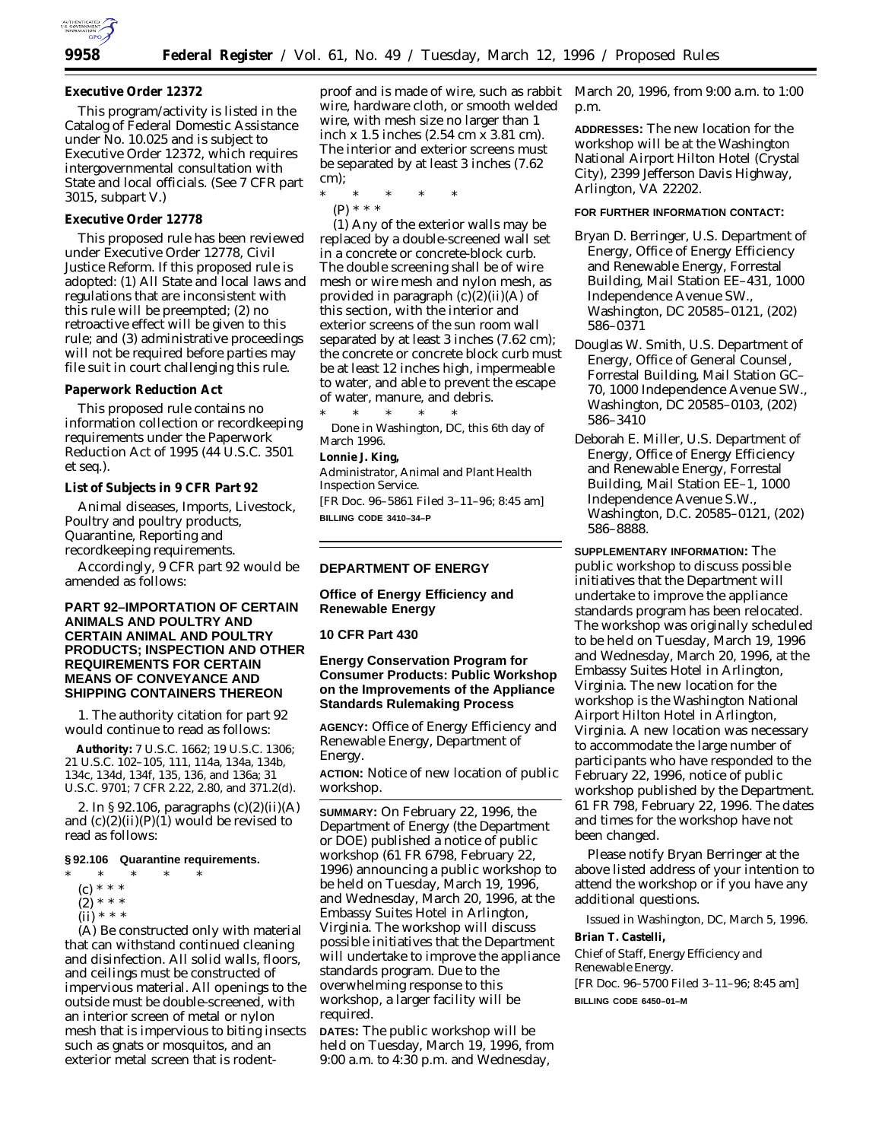

### **Executive Order 12372**

This program/activity is listed in the Catalog of Federal Domestic Assistance under No. 10.025 and is subject to Executive Order 12372, which requires intergovernmental consultation with State and local officials. (See 7 CFR part 3015, subpart V.)

## **Executive Order 12778**

This proposed rule has been reviewed under Executive Order 12778, Civil Justice Reform. If this proposed rule is adopted: (1) All State and local laws and regulations that are inconsistent with this rule will be preempted; (2) no retroactive effect will be given to this rule; and (3) administrative proceedings will not be required before parties may file suit in court challenging this rule.

#### **Paperwork Reduction Act**

This proposed rule contains no information collection or recordkeeping requirements under the Paperwork Reduction Act of 1995 (44 U.S.C. 3501 *et seq.*).

**List of Subjects in 9 CFR Part 92**

Animal diseases, Imports, Livestock, Poultry and poultry products, Quarantine, Reporting and recordkeeping requirements.

Accordingly, 9 CFR part 92 would be amended as follows:

## **PART 92–IMPORTATION OF CERTAIN ANIMALS AND POULTRY AND CERTAIN ANIMAL AND POULTRY PRODUCTS; INSPECTION AND OTHER REQUIREMENTS FOR CERTAIN MEANS OF CONVEYANCE AND SHIPPING CONTAINERS THEREON**

1. The authority citation for part 92 would continue to read as follows:

**Authority:** 7 U.S.C. 1662; 19 U.S.C. 1306; 21 U.S.C. 102–105, 111, 114a, 134a, 134b, 134c, 134d, 134f, 135, 136, and 136a; 31 U.S.C. 9701; 7 CFR 2.22, 2.80, and 371.2(d).

2. In § 92.106, paragraphs (c)(2)(ii)(A) and  $(c)(2)(ii)(P)(1)$  would be revised to read as follows:

## **§ 92.106 Quarantine requirements.**

- \* \* \* \* \*
	- (c) \* \* \*
	- $(2) * * *$
	- $(ii) * * * *$

(A) Be constructed only with material that can withstand continued cleaning and disinfection. All solid walls, floors, and ceilings must be constructed of impervious material. All openings to the outside must be double-screened, with an interior screen of metal or nylon mesh that is impervious to biting insects such as gnats or mosquitos, and an exterior metal screen that is rodentproof and is made of wire, such as rabbit wire, hardware cloth, or smooth welded wire, with mesh size no larger than 1 inch x 1.5 inches (2.54 cm x 3.81 cm). The interior and exterior screens must be separated by at least 3 inches (7.62 cm);

\* \* \* \* \*

(P) \* \* \*

(*1*) Any of the exterior walls may be replaced by a double-screened wall set in a concrete or concrete-block curb. The double screening shall be of wire mesh or wire mesh and nylon mesh, as provided in paragraph  $(c)(2)(ii)(A)$  of this section, with the interior and exterior screens of the sun room wall separated by at least 3 inches (7.62 cm); the concrete or concrete block curb must be at least 12 inches high, impermeable to water, and able to prevent the escape of water, manure, and debris.

\* \* \* \* \* Done in Washington, DC, this 6th day of March 1996.

**Lonnie J. King,**

*Administrator, Animal and Plant Health Inspection Service.*

[FR Doc. 96–5861 Filed 3–11–96; 8:45 am] **BILLING CODE 3410–34–P**

### **DEPARTMENT OF ENERGY**

**Office of Energy Efficiency and Renewable Energy**

### **10 CFR Part 430**

## **Energy Conservation Program for Consumer Products: Public Workshop on the Improvements of the Appliance Standards Rulemaking Process**

**AGENCY:** Office of Energy Efficiency and Renewable Energy, Department of Energy.

**ACTION:** Notice of new location of public workshop.

**SUMMARY:** On February 22, 1996, the Department of Energy (the Department or DOE) published a notice of public workshop (61 FR 6798, February 22, 1996) announcing a public workshop to be held on Tuesday, March 19, 1996, and Wednesday, March 20, 1996, at the Embassy Suites Hotel in Arlington, Virginia. The workshop will discuss possible initiatives that the Department will undertake to improve the appliance standards program. Due to the overwhelming response to this workshop, a larger facility will be required.

**DATES:** The public workshop will be held on Tuesday, March 19, 1996, from 9:00 a.m. to 4:30 p.m. and Wednesday,

March 20, 1996, from 9:00 a.m. to 1:00 p.m.

**ADDRESSES:** The new location for the workshop will be at the Washington National Airport Hilton Hotel (Crystal City), 2399 Jefferson Davis Highway, Arlington, VA 22202.

### **FOR FURTHER INFORMATION CONTACT:**

- Bryan D. Berringer, U.S. Department of Energy, Office of Energy Efficiency and Renewable Energy, Forrestal Building, Mail Station EE–431, 1000 Independence Avenue SW., Washington, DC 20585–0121, (202) 586–0371
- Douglas W. Smith, U.S. Department of Energy, Office of General Counsel, Forrestal Building, Mail Station GC– 70, 1000 Independence Avenue SW., Washington, DC 20585–0103, (202) 586–3410
- Deborah E. Miller, U.S. Department of Energy, Office of Energy Efficiency and Renewable Energy, Forrestal Building, Mail Station EE–1, 1000 Independence Avenue S.W., Washington, D.C. 20585–0121, (202) 586–8888.

**SUPPLEMENTARY INFORMATION:** The public workshop to discuss possible initiatives that the Department will undertake to improve the appliance standards program has been relocated. The workshop was originally scheduled to be held on Tuesday, March 19, 1996 and Wednesday, March 20, 1996, at the Embassy Suites Hotel in Arlington, Virginia. The new location for the workshop is the Washington National Airport Hilton Hotel in Arlington, Virginia. A new location was necessary to accommodate the large number of participants who have responded to the February 22, 1996, notice of public workshop published by the Department. 61 FR 798, February 22, 1996. The dates and times for the workshop have not been changed.

Please notify Bryan Berringer at the above listed address of your intention to attend the workshop or if you have any additional questions.

Issued in Washington, DC, March 5, 1996.

**Brian T. Castelli,**

*Chief of Staff, Energy Efficiency and Renewable Energy.* [FR Doc. 96–5700 Filed 3–11–96; 8:45 am] **BILLING CODE 6450–01–M**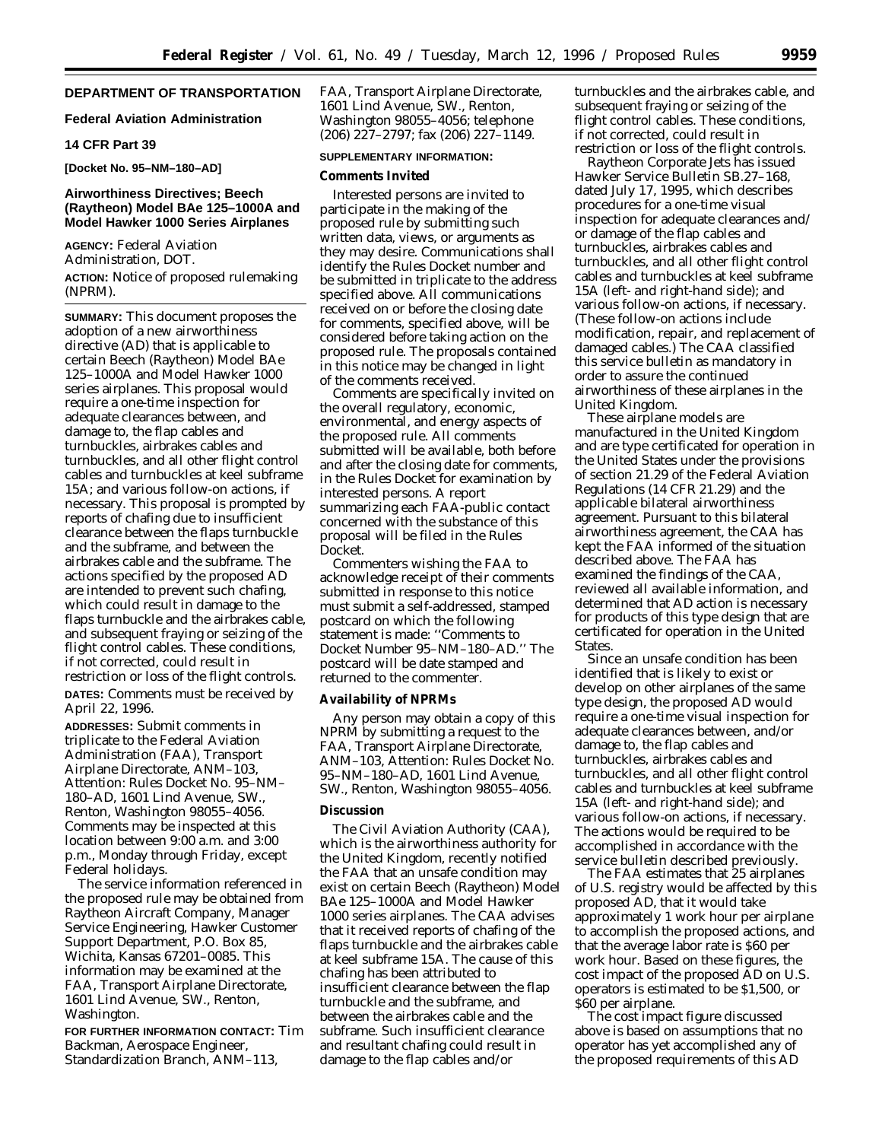# **DEPARTMENT OF TRANSPORTATION**

### **Federal Aviation Administration**

### **14 CFR Part 39**

**[Docket No. 95–NM–180–AD]**

## **Airworthiness Directives; Beech (Raytheon) Model BAe 125–1000A and Model Hawker 1000 Series Airplanes**

**AGENCY:** Federal Aviation Administration, DOT. **ACTION:** Notice of proposed rulemaking (NPRM).

**SUMMARY:** This document proposes the adoption of a new airworthiness directive (AD) that is applicable to certain Beech (Raytheon) Model BAe 125–1000A and Model Hawker 1000 series airplanes. This proposal would require a one-time inspection for adequate clearances between, and damage to, the flap cables and turnbuckles, airbrakes cables and turnbuckles, and all other flight control cables and turnbuckles at keel subframe 15A; and various follow-on actions, if necessary. This proposal is prompted by reports of chafing due to insufficient clearance between the flaps turnbuckle and the subframe, and between the airbrakes cable and the subframe. The actions specified by the proposed AD are intended to prevent such chafing, which could result in damage to the flaps turnbuckle and the airbrakes cable, and subsequent fraying or seizing of the flight control cables. These conditions, if not corrected, could result in restriction or loss of the flight controls. **DATES:** Comments must be received by April 22, 1996.

**ADDRESSES:** Submit comments in triplicate to the Federal Aviation Administration (FAA), Transport Airplane Directorate, ANM–103, Attention: Rules Docket No. 95–NM– 180–AD, 1601 Lind Avenue, SW., Renton, Washington 98055–4056. Comments may be inspected at this location between 9:00 a.m. and 3:00 p.m., Monday through Friday, except Federal holidays.

The service information referenced in the proposed rule may be obtained from Raytheon Aircraft Company, Manager Service Engineering, Hawker Customer Support Department, P.O. Box 85, Wichita, Kansas 67201–0085. This information may be examined at the FAA, Transport Airplane Directorate, 1601 Lind Avenue, SW., Renton, Washington.

**FOR FURTHER INFORMATION CONTACT:** Tim Backman, Aerospace Engineer, Standardization Branch, ANM–113,

FAA, Transport Airplane Directorate, 1601 Lind Avenue, SW., Renton, Washington 98055–4056; telephone (206) 227–2797; fax (206) 227–1149.

### **SUPPLEMENTARY INFORMATION:**

#### **Comments Invited**

Interested persons are invited to participate in the making of the proposed rule by submitting such written data, views, or arguments as they may desire. Communications shall identify the Rules Docket number and be submitted in triplicate to the address specified above. All communications received on or before the closing date for comments, specified above, will be considered before taking action on the proposed rule. The proposals contained in this notice may be changed in light of the comments received.

Comments are specifically invited on the overall regulatory, economic, environmental, and energy aspects of the proposed rule. All comments submitted will be available, both before and after the closing date for comments, in the Rules Docket for examination by interested persons. A report summarizing each FAA-public contact concerned with the substance of this proposal will be filed in the Rules Docket.

Commenters wishing the FAA to acknowledge receipt of their comments submitted in response to this notice must submit a self-addressed, stamped postcard on which the following statement is made: ''Comments to Docket Number 95–NM–180–AD.'' The postcard will be date stamped and returned to the commenter.

### **Availability of NPRMs**

Any person may obtain a copy of this NPRM by submitting a request to the FAA, Transport Airplane Directorate, ANM–103, Attention: Rules Docket No. 95–NM–180–AD, 1601 Lind Avenue, SW., Renton, Washington 98055–4056.

#### **Discussion**

The Civil Aviation Authority (CAA), which is the airworthiness authority for the United Kingdom, recently notified the FAA that an unsafe condition may exist on certain Beech (Raytheon) Model BAe 125–1000A and Model Hawker 1000 series airplanes. The CAA advises that it received reports of chafing of the flaps turnbuckle and the airbrakes cable at keel subframe 15A. The cause of this chafing has been attributed to insufficient clearance between the flap turnbuckle and the subframe, and between the airbrakes cable and the subframe. Such insufficient clearance and resultant chafing could result in damage to the flap cables and/or

turnbuckles and the airbrakes cable, and subsequent fraying or seizing of the flight control cables. These conditions, if not corrected, could result in restriction or loss of the flight controls.

Raytheon Corporate Jets has issued Hawker Service Bulletin SB.27–168, dated July 17, 1995, which describes procedures for a one-time visual inspection for adequate clearances and/ or damage of the flap cables and turnbuckles, airbrakes cables and turnbuckles, and all other flight control cables and turnbuckles at keel subframe 15A (left- and right-hand side); and various follow-on actions, if necessary. (These follow-on actions include modification, repair, and replacement of damaged cables.) The CAA classified this service bulletin as mandatory in order to assure the continued airworthiness of these airplanes in the United Kingdom.

These airplane models are manufactured in the United Kingdom and are type certificated for operation in the United States under the provisions of section 21.29 of the Federal Aviation Regulations (14 CFR 21.29) and the applicable bilateral airworthiness agreement. Pursuant to this bilateral airworthiness agreement, the CAA has kept the FAA informed of the situation described above. The FAA has examined the findings of the CAA, reviewed all available information, and determined that AD action is necessary for products of this type design that are certificated for operation in the United **States** 

Since an unsafe condition has been identified that is likely to exist or develop on other airplanes of the same type design, the proposed AD would require a one-time visual inspection for adequate clearances between, and/or damage to, the flap cables and turnbuckles, airbrakes cables and turnbuckles, and all other flight control cables and turnbuckles at keel subframe 15A (left- and right-hand side); and various follow-on actions, if necessary. The actions would be required to be accomplished in accordance with the service bulletin described previously.

The FAA estimates that 25 airplanes of U.S. registry would be affected by this proposed AD, that it would take approximately 1 work hour per airplane to accomplish the proposed actions, and that the average labor rate is \$60 per work hour. Based on these figures, the cost impact of the proposed AD on U.S. operators is estimated to be \$1,500, or \$60 per airplane.

The cost impact figure discussed above is based on assumptions that no operator has yet accomplished any of the proposed requirements of this AD